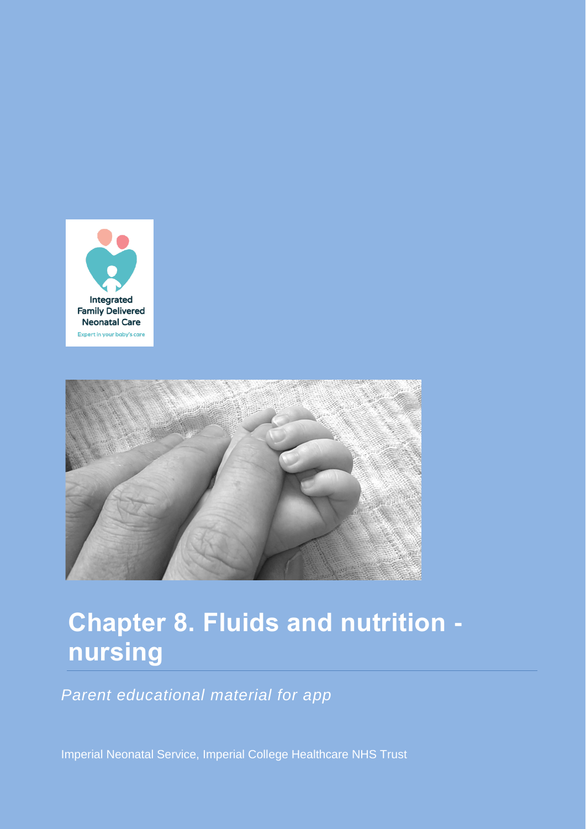



# **Chapter 8. Fluids and nutrition nursing**

*Parent educational material for app*

Imperial Neonatal Service, Imperial College Healthcare NHS Trust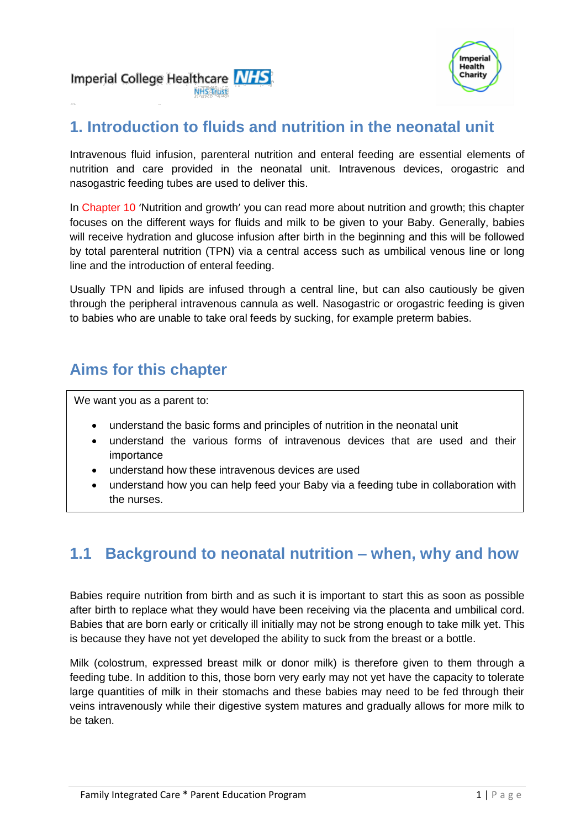Imperial College Healthcare NHS **NHS Trust** 



# **1. Introduction to fluids and nutrition in the neonatal unit**

Intravenous fluid infusion, parenteral nutrition and enteral feeding are essential elements of nutrition and care provided in the neonatal unit. Intravenous devices, orogastric and nasogastric feeding tubes are used to deliver this.

In Chapter 10 'Nutrition and growth' you can read more about nutrition and growth; this chapter focuses on the different ways for fluids and milk to be given to your Baby. Generally, babies will receive hydration and glucose infusion after birth in the beginning and this will be followed by total parenteral nutrition (TPN) via a central access such as umbilical venous line or long line and the introduction of enteral feeding.

Usually TPN and lipids are infused through a central line, but can also cautiously be given through the peripheral intravenous cannula as well. Nasogastric or orogastric feeding is given to babies who are unable to take oral feeds by sucking, for example preterm babies.

# **Aims for this chapter**

We want you as a parent to:

- understand the basic forms and principles of nutrition in the neonatal unit
- understand the various forms of intravenous devices that are used and their importance
- understand how these intravenous devices are used
- understand how you can help feed your Baby via a feeding tube in collaboration with the nurses.

# **1.1 Background to neonatal nutrition – when, why and how**

Babies require nutrition from birth and as such it is important to start this as soon as possible after birth to replace what they would have been receiving via the placenta and umbilical cord. Babies that are born early or critically ill initially may not be strong enough to take milk yet. This is because they have not yet developed the ability to suck from the breast or a bottle.

Milk (colostrum, expressed breast milk or donor milk) is therefore given to them through a feeding tube. In addition to this, those born very early may not yet have the capacity to tolerate large quantities of milk in their stomachs and these babies may need to be fed through their veins intravenously while their digestive system matures and gradually allows for more milk to be taken.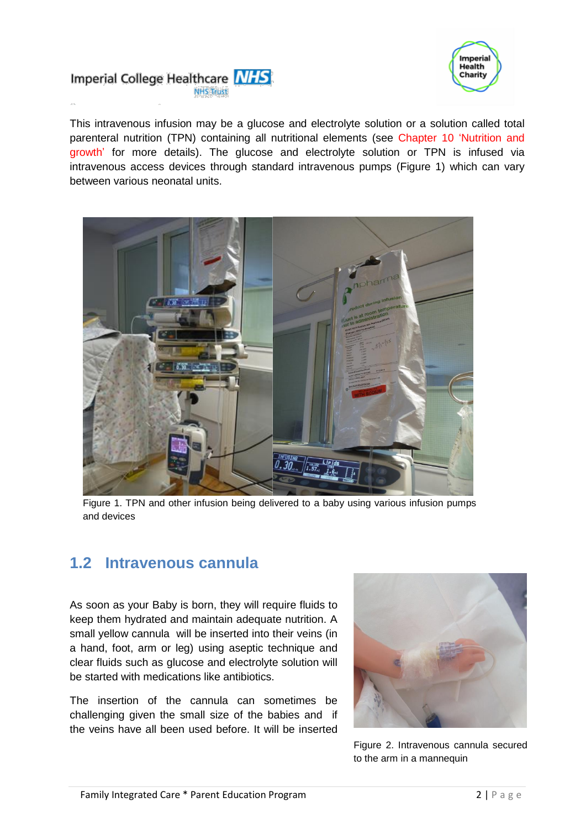



This intravenous infusion may be a glucose and electrolyte solution or a solution called total parenteral nutrition (TPN) containing all nutritional elements (see Chapter 10 'Nutrition and growth' for more details). The glucose and electrolyte solution or TPN is infused via intravenous access devices through standard intravenous pumps (Figure 1) which can vary between various neonatal units.



Figure 1. TPN and other infusion being delivered to a baby using various infusion pumps and devices

#### **1.2 Intravenous cannula**

As soon as your Baby is born, they will require fluids to keep them hydrated and maintain adequate nutrition. A small yellow cannula will be inserted into their veins (in a hand, foot, arm or leg) using aseptic technique and clear fluids such as glucose and electrolyte solution will be started with medications like antibiotics.

The insertion of the cannula can sometimes be challenging given the small size of the babies and if the veins have all been used before. It will be inserted



Figure 2. Intravenous cannula secured to the arm in a mannequin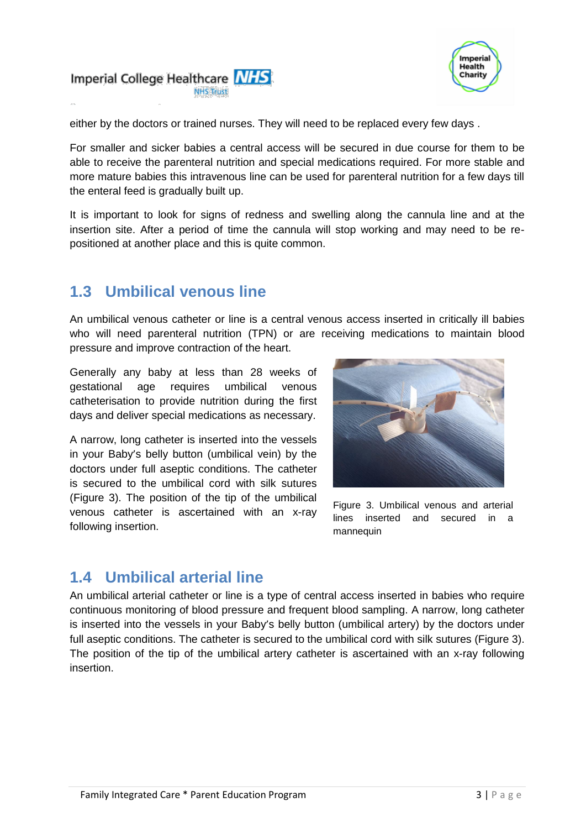



either by the doctors or trained nurses. They will need to be replaced every few days .

For smaller and sicker babies a central access will be secured in due course for them to be able to receive the parenteral nutrition and special medications required. For more stable and more mature babies this intravenous line can be used for parenteral nutrition for a few days till the enteral feed is gradually built up.

It is important to look for signs of redness and swelling along the cannula line and at the insertion site. After a period of time the cannula will stop working and may need to be repositioned at another place and this is quite common.

### **1.3 Umbilical venous line**

An umbilical venous catheter or line is a central venous access inserted in critically ill babies who will need parenteral nutrition (TPN) or are receiving medications to maintain blood pressure and improve contraction of the heart.

Generally any baby at less than 28 weeks of gestational age requires umbilical venous catheterisation to provide nutrition during the first days and deliver special medications as necessary.

A narrow, long catheter is inserted into the vessels in your Baby's belly button (umbilical vein) by the doctors under full aseptic conditions. The catheter is secured to the umbilical cord with silk sutures (Figure 3). The position of the tip of the umbilical venous catheter is ascertained with an x-ray following insertion.



Figure 3. Umbilical venous and arterial lines inserted and secured in a mannequin

# **1.4 Umbilical arterial line**

An umbilical arterial catheter or line is a type of central access inserted in babies who require continuous monitoring of blood pressure and frequent blood sampling. A narrow, long catheter is inserted into the vessels in your Baby's belly button (umbilical artery) by the doctors under full aseptic conditions. The catheter is secured to the umbilical cord with silk sutures (Figure 3). The position of the tip of the umbilical artery catheter is ascertained with an x-ray following insertion.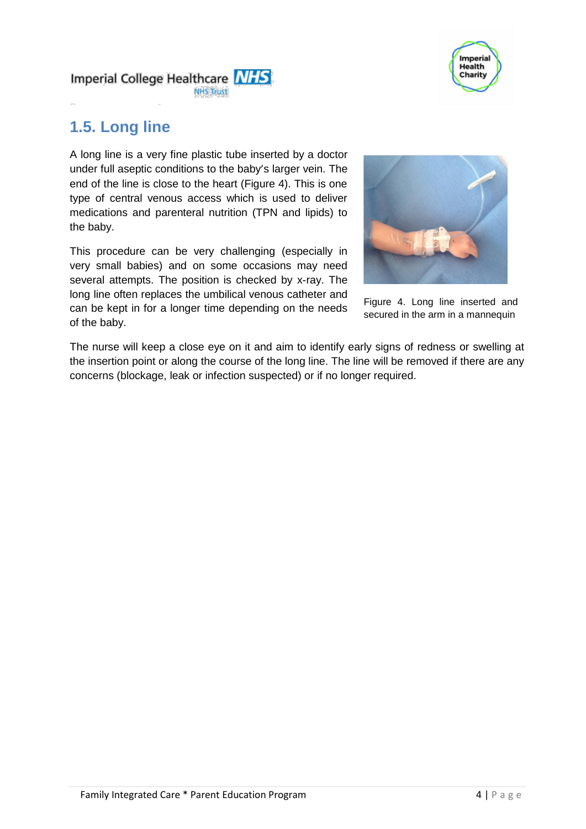

Imperial College Healthcare MHS **NHS Trust** 

# **1.5. Long line**

A long line is a very fine plastic tube inserted by a doctor under full aseptic conditions to the baby's larger vein. The end of the line is close to the heart (Figure 4). This is one type of central venous access which is used to deliver medications and parenteral nutrition (TPN and lipids) to the baby.

This procedure can be very challenging (especially in very small babies) and on some occasions may need several attempts. The position is checked by x-ray. The long line often replaces the umbilical venous catheter and can be kept in for a longer time depending on the needs of the baby.



Figure 4. Long line inserted and secured in the arm in a mannequin

The nurse will keep a close eye on it and aim to identify early signs of redness or swelling at the insertion point or along the course of the long line. The line will be removed if there are any concerns (blockage, leak or infection suspected) or if no longer required.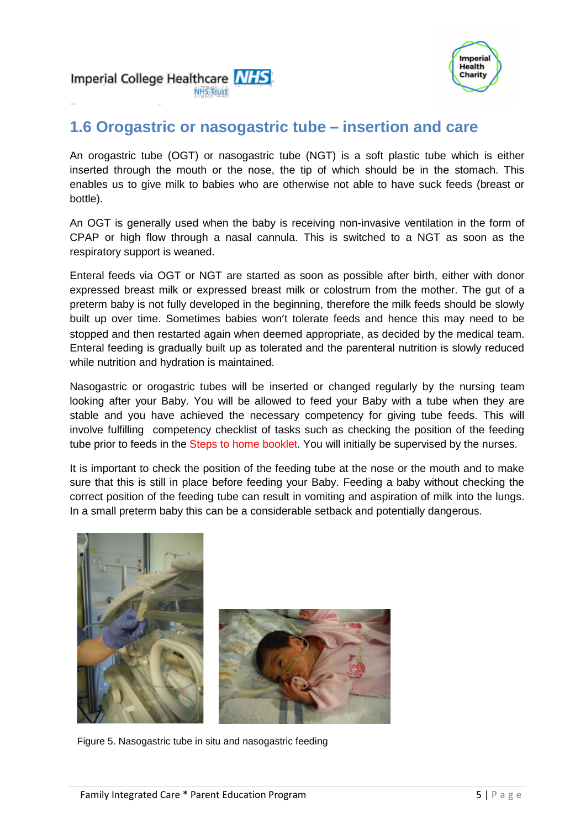



# **1.6 Orogastric or nasogastric tube – insertion and care**

An orogastric tube (OGT) or nasogastric tube (NGT) is a soft plastic tube which is either inserted through the mouth or the nose, the tip of which should be in the stomach. This enables us to give milk to babies who are otherwise not able to have suck feeds (breast or bottle).

An OGT is generally used when the baby is receiving non-invasive ventilation in the form of CPAP or high flow through a nasal cannula. This is switched to a NGT as soon as the respiratory support is weaned.

Enteral feeds via OGT or NGT are started as soon as possible after birth, either with donor expressed breast milk or expressed breast milk or colostrum from the mother. The gut of a preterm baby is not fully developed in the beginning, therefore the milk feeds should be slowly built up over time. Sometimes babies won't tolerate feeds and hence this may need to be stopped and then restarted again when deemed appropriate, as decided by the medical team. Enteral feeding is gradually built up as tolerated and the parenteral nutrition is slowly reduced while nutrition and hydration is maintained.

Nasogastric or orogastric tubes will be inserted or changed regularly by the nursing team looking after your Baby. You will be allowed to feed your Baby with a tube when they are stable and you have achieved the necessary competency for giving tube feeds. This will involve fulfilling competency checklist of tasks such as checking the position of the feeding tube prior to feeds in the Steps to home booklet. You will initially be supervised by the nurses.

It is important to check the position of the feeding tube at the nose or the mouth and to make sure that this is still in place before feeding your Baby. Feeding a baby without checking the correct position of the feeding tube can result in vomiting and aspiration of milk into the lungs. In a small preterm baby this can be a considerable setback and potentially dangerous.





Figure 5. Nasogastric tube in situ and nasogastric feeding